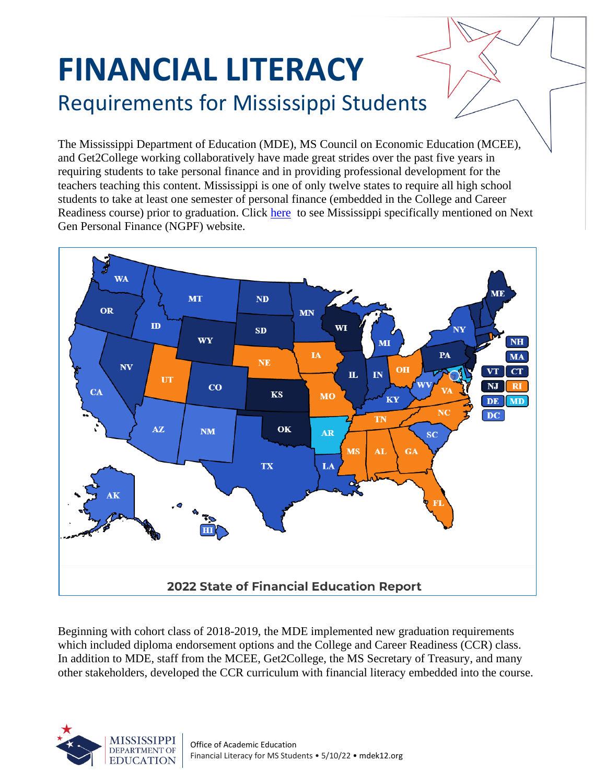## **FINANCIAL LITERACY** Requirements for Mississippi Students

The Mississippi Department of Education (MDE), MS Council on Economic Education (MCEE), and Get2College working collaboratively have made great strides over the past five years in requiring students to take personal finance and in providing professional development for the teachers teaching this content. Mississippi is one of only twelve states to require all high school students to take at least one semester of personal finance (embedded in the College and Career Readiness course) prior to graduation. Click [here](https://www.ngpf.org/state-of-fin-ed-report-2020-2021/) to see Mississippi specifically mentioned on Next Gen Personal Finance (NGPF) website.



Beginning with cohort class of 2018-2019, the MDE implemented new graduation requirements which included diploma endorsement options and the College and Career Readiness (CCR) class. In addition to MDE, staff from the MCEE, Get2College, the MS Secretary of Treasury, and many other stakeholders, developed the CCR curriculum with financial literacy embedded into the course.